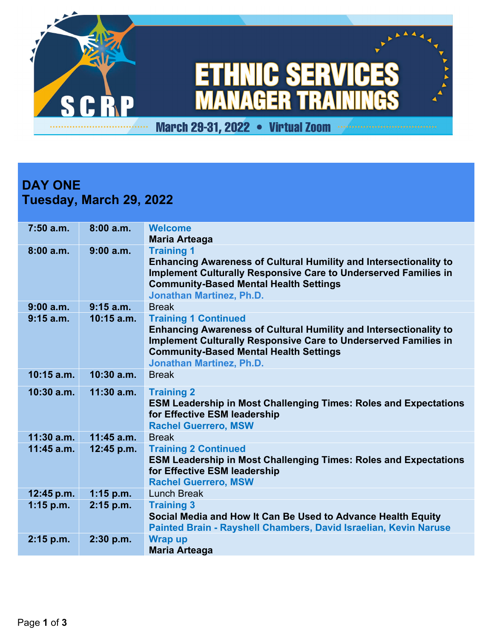

## **DAY ONE Tuesday, March 29, 2022**

| $7:50$ a.m.  | 8:00a.m.     | <b>Welcome</b><br><b>Maria Arteaga</b>                                                                                                                                                                                                                                |
|--------------|--------------|-----------------------------------------------------------------------------------------------------------------------------------------------------------------------------------------------------------------------------------------------------------------------|
| 8:00a.m.     | 9:00a.m.     | <b>Training 1</b><br><b>Enhancing Awareness of Cultural Humility and Intersectionality to</b><br><b>Implement Culturally Responsive Care to Underserved Families in</b><br><b>Community-Based Mental Health Settings</b><br><b>Jonathan Martinez, Ph.D.</b>           |
| 9:00a.m.     | $9:15$ a.m.  | <b>Break</b>                                                                                                                                                                                                                                                          |
| $9:15$ a.m.  | $10:15$ a.m. | <b>Training 1 Continued</b><br><b>Enhancing Awareness of Cultural Humility and Intersectionality to</b><br><b>Implement Culturally Responsive Care to Underserved Families in</b><br><b>Community-Based Mental Health Settings</b><br><b>Jonathan Martinez, Ph.D.</b> |
| $10:15$ a.m. | $10:30$ a.m. | <b>Break</b>                                                                                                                                                                                                                                                          |
| $10:30$ a.m. | $11:30$ a.m. | <b>Training 2</b><br><b>ESM Leadership in Most Challenging Times: Roles and Expectations</b><br>for Effective ESM leadership<br><b>Rachel Guerrero, MSW</b>                                                                                                           |
| $11:30$ a.m. | $11:45$ a.m. | <b>Break</b>                                                                                                                                                                                                                                                          |
| $11:45$ a.m. | 12:45 p.m.   | <b>Training 2 Continued</b><br><b>ESM Leadership in Most Challenging Times: Roles and Expectations</b><br>for Effective ESM leadership<br><b>Rachel Guerrero, MSW</b>                                                                                                 |
| 12:45 p.m.   | $1:15$ p.m.  | <b>Lunch Break</b>                                                                                                                                                                                                                                                    |
| $1:15$ p.m.  | $2:15$ p.m.  | <b>Training 3</b><br>Social Media and How It Can Be Used to Advance Health Equity<br>Painted Brain - Rayshell Chambers, David Israelian, Kevin Naruse                                                                                                                 |
| $2:15$ p.m.  | 2:30 p.m.    | <b>Wrap up</b><br><b>Maria Arteaga</b>                                                                                                                                                                                                                                |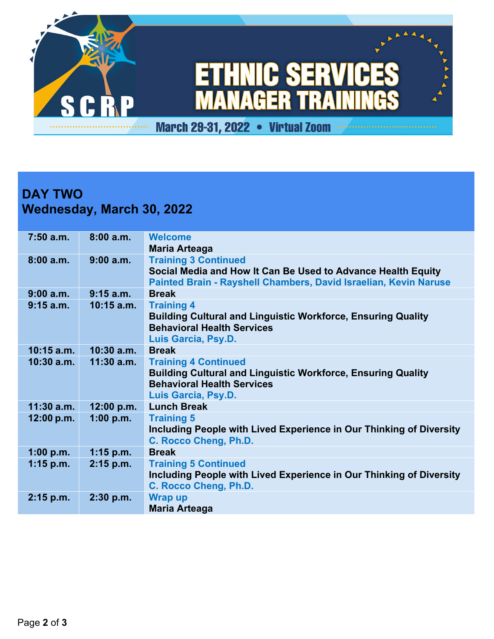

## **DAY TWO Wednesday, March 30, 2022**

| $7:50$ a.m.  | 8:00a.m.     | <b>Welcome</b>                                                      |
|--------------|--------------|---------------------------------------------------------------------|
|              |              | Maria Arteaga                                                       |
| 8:00a.m.     | 9:00 a.m.    | <b>Training 3 Continued</b>                                         |
|              |              |                                                                     |
|              |              | Social Media and How It Can Be Used to Advance Health Equity        |
|              |              | Painted Brain - Rayshell Chambers, David Israelian, Kevin Naruse    |
| $9:00$ a.m.  | $9:15$ a.m.  | <b>Break</b>                                                        |
| $9:15$ a.m.  | $10:15$ a.m. | <b>Training 4</b>                                                   |
|              |              | <b>Building Cultural and Linguistic Workforce, Ensuring Quality</b> |
|              |              | <b>Behavioral Health Services</b>                                   |
|              |              |                                                                     |
|              |              | Luis Garcia, Psy.D.                                                 |
| $10:15$ a.m. | $10:30$ a.m. | <b>Break</b>                                                        |
| $10:30$ a.m. | $11:30$ a.m. | <b>Training 4 Continued</b>                                         |
|              |              | <b>Building Cultural and Linguistic Workforce, Ensuring Quality</b> |
|              |              | <b>Behavioral Health Services</b>                                   |
|              |              | Luis Garcia, Psy.D.                                                 |
|              |              |                                                                     |
| $11:30$ a.m. | 12:00 p.m.   | <b>Lunch Break</b>                                                  |
| 12:00 p.m.   | 1:00 p.m.    | <b>Training 5</b>                                                   |
|              |              | Including People with Lived Experience in Our Thinking of Diversity |
|              |              | C. Rocco Cheng, Ph.D.                                               |
| 1:00 p.m.    | $1:15$ p.m.  | <b>Break</b>                                                        |
|              |              |                                                                     |
| $1:15$ p.m.  | $2:15$ p.m.  | <b>Training 5 Continued</b>                                         |
|              |              | Including People with Lived Experience in Our Thinking of Diversity |
|              |              | C. Rocco Cheng, Ph.D.                                               |
| $2:15$ p.m.  | $2:30$ p.m.  | <b>Wrap up</b>                                                      |
|              |              | <b>Maria Arteaga</b>                                                |
|              |              |                                                                     |